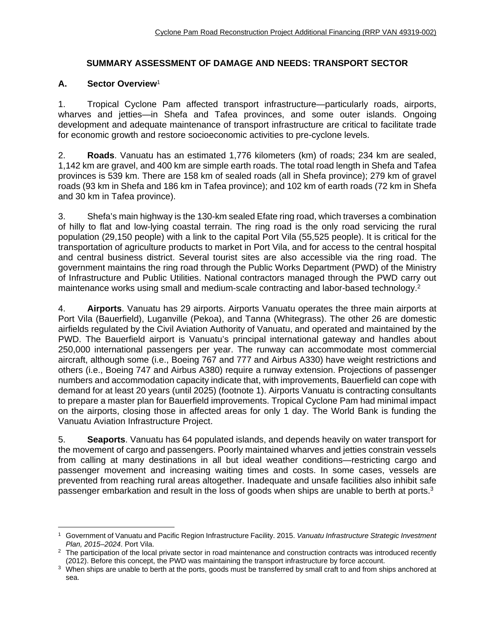# **SUMMARY ASSESSMENT OF DAMAGE AND NEEDS: TRANSPORT SECTOR**

# **A. Sector Overview**<sup>1</sup>

1. Tropical Cyclone Pam affected transport infrastructure—particularly roads, airports, wharves and jetties—in Shefa and Tafea provinces, and some outer islands. Ongoing development and adequate maintenance of transport infrastructure are critical to facilitate trade for economic growth and restore socioeconomic activities to pre-cyclone levels.

2. **Roads**. Vanuatu has an estimated 1,776 kilometers (km) of roads; 234 km are sealed, 1,142 km are gravel, and 400 km are simple earth roads. The total road length in Shefa and Tafea provinces is 539 km. There are 158 km of sealed roads (all in Shefa province); 279 km of gravel roads (93 km in Shefa and 186 km in Tafea province); and 102 km of earth roads (72 km in Shefa and 30 km in Tafea province).

3. Shefa's main highway is the 130-km sealed Efate ring road, which traverses a combination of hilly to flat and low-lying coastal terrain. The ring road is the only road servicing the rural population (29,150 people) with a link to the capital Port Vila (55,525 people). It is critical for the transportation of agriculture products to market in Port Vila, and for access to the central hospital and central business district. Several tourist sites are also accessible via the ring road. The government maintains the ring road through the Public Works Department (PWD) of the Ministry of Infrastructure and Public Utilities. National contractors managed through the PWD carry out maintenance works using small and medium-scale contracting and labor-based technology.<sup>2</sup>

4. **Airports**. Vanuatu has 29 airports. Airports Vanuatu operates the three main airports at Port Vila (Bauerfield), Luganville (Pekoa), and Tanna (Whitegrass). The other 26 are domestic airfields regulated by the Civil Aviation Authority of Vanuatu, and operated and maintained by the PWD. The Bauerfield airport is Vanuatu's principal international gateway and handles about 250,000 international passengers per year. The runway can accommodate most commercial aircraft, although some (i.e., Boeing 767 and 777 and Airbus A330) have weight restrictions and others (i.e., Boeing 747 and Airbus A380) require a runway extension. Projections of passenger numbers and accommodation capacity indicate that, with improvements, Bauerfield can cope with demand for at least 20 years (until 2025) (footnote 1). Airports Vanuatu is contracting consultants to prepare a master plan for Bauerfield improvements. Tropical Cyclone Pam had minimal impact on the airports, closing those in affected areas for only 1 day. The World Bank is funding the Vanuatu Aviation Infrastructure Project.

5. **Seaports**. Vanuatu has 64 populated islands, and depends heavily on water transport for the movement of cargo and passengers. Poorly maintained wharves and jetties constrain vessels from calling at many destinations in all but ideal weather conditions—restricting cargo and passenger movement and increasing waiting times and costs. In some cases, vessels are prevented from reaching rural areas altogether. Inadequate and unsafe facilities also inhibit safe passenger embarkation and result in the loss of goods when ships are unable to berth at ports.<sup>3</sup>

 $\overline{a}$ 1 Government of Vanuatu and Pacific Region Infrastructure Facility. 2015. *Vanuatu Infrastructure Strategic Investment Plan, 2015–2024*. Port Vila. 2 The participation of the local private sector in road maintenance and construction contracts was introduced recently

<sup>(2012).</sup> Before this concept, the PWD was maintaining the transport infrastructure by force account.<br><sup>3</sup> When ships are unable to berth at the ports, goods must be transferred by small craft to and from ships anchored at

sea.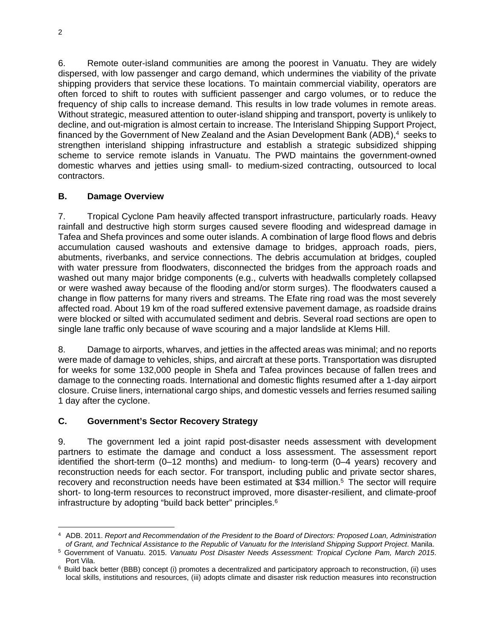6. Remote outer-island communities are among the poorest in Vanuatu. They are widely dispersed, with low passenger and cargo demand, which undermines the viability of the private shipping providers that service these locations. To maintain commercial viability, operators are often forced to shift to routes with sufficient passenger and cargo volumes, or to reduce the frequency of ship calls to increase demand. This results in low trade volumes in remote areas. Without strategic, measured attention to outer-island shipping and transport, poverty is unlikely to decline, and out-migration is almost certain to increase. The Interisland Shipping Support Project, financed by the Government of New Zealand and the Asian Development Bank (ADB), $4$  seeks to strengthen interisland shipping infrastructure and establish a strategic subsidized shipping scheme to service remote islands in Vanuatu. The PWD maintains the government-owned domestic wharves and jetties using small- to medium-sized contracting, outsourced to local contractors.

### **B. Damage Overview**

7. Tropical Cyclone Pam heavily affected transport infrastructure, particularly roads. Heavy rainfall and destructive high storm surges caused severe flooding and widespread damage in Tafea and Shefa provinces and some outer islands. A combination of large flood flows and debris accumulation caused washouts and extensive damage to bridges, approach roads, piers, abutments, riverbanks, and service connections. The debris accumulation at bridges, coupled with water pressure from floodwaters, disconnected the bridges from the approach roads and washed out many major bridge components (e.g., culverts with headwalls completely collapsed or were washed away because of the flooding and/or storm surges). The floodwaters caused a change in flow patterns for many rivers and streams. The Efate ring road was the most severely affected road. About 19 km of the road suffered extensive pavement damage, as roadside drains were blocked or silted with accumulated sediment and debris. Several road sections are open to single lane traffic only because of wave scouring and a major landslide at Klems Hill.

8. Damage to airports, wharves, and jetties in the affected areas was minimal; and no reports were made of damage to vehicles, ships, and aircraft at these ports. Transportation was disrupted for weeks for some 132,000 people in Shefa and Tafea provinces because of fallen trees and damage to the connecting roads. International and domestic flights resumed after a 1-day airport closure. Cruise liners, international cargo ships, and domestic vessels and ferries resumed sailing 1 day after the cyclone.

#### **C. Government's Sector Recovery Strategy**

9. The government led a joint rapid post-disaster needs assessment with development partners to estimate the damage and conduct a loss assessment. The assessment report identified the short-term (0–12 months) and medium- to long-term (0–4 years) recovery and reconstruction needs for each sector. For transport, including public and private sector shares, recovery and reconstruction needs have been estimated at \$34 million.<sup>5</sup> The sector will require short- to long-term resources to reconstruct improved, more disaster-resilient, and climate-proof infrastructure by adopting "build back better" principles.<sup>6</sup>

 $\overline{a}$ 4 ADB. 2011. *Report and Recommendation of the President to the Board of Directors: Proposed Loan, Administration* 

of Grant, and Technical Assistance to the Republic of Vanuatu for the Interisland Shipping Support Project. Manila.<br>5 Government of Vanuatu. 2015. Vanuatu Post Disaster Needs Assessment: Tropical Cyclone Pam, March 2015. Port Vila.<br><sup>6</sup> Build back better (BBB) concept (i) promotes a decentralized and participatory approach to reconstruction, (ii) uses

local skills, institutions and resources, (iii) adopts climate and disaster risk reduction measures into reconstruction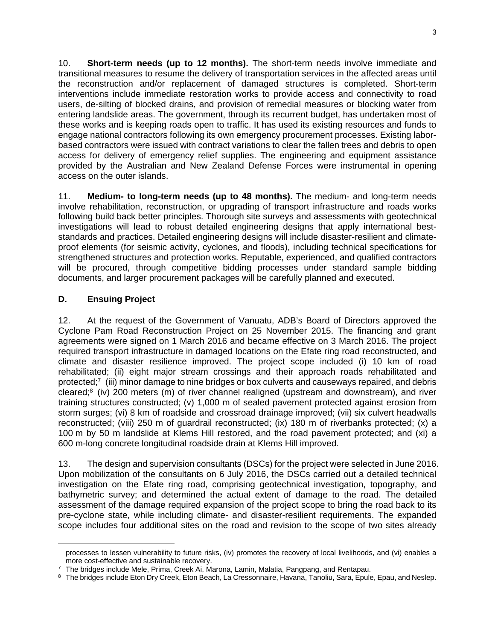10. **Short-term needs (up to 12 months).** The short-term needs involve immediate and transitional measures to resume the delivery of transportation services in the affected areas until the reconstruction and/or replacement of damaged structures is completed. Short-term interventions include immediate restoration works to provide access and connectivity to road users, de-silting of blocked drains, and provision of remedial measures or blocking water from entering landslide areas. The government, through its recurrent budget, has undertaken most of these works and is keeping roads open to traffic. It has used its existing resources and funds to engage national contractors following its own emergency procurement processes. Existing laborbased contractors were issued with contract variations to clear the fallen trees and debris to open access for delivery of emergency relief supplies. The engineering and equipment assistance provided by the Australian and New Zealand Defense Forces were instrumental in opening access on the outer islands.

11. **Medium- to long-term needs (up to 48 months).** The medium- and long-term needs involve rehabilitation, reconstruction, or upgrading of transport infrastructure and roads works following build back better principles. Thorough site surveys and assessments with geotechnical investigations will lead to robust detailed engineering designs that apply international beststandards and practices. Detailed engineering designs will include disaster-resilient and climateproof elements (for seismic activity, cyclones, and floods), including technical specifications for strengthened structures and protection works. Reputable, experienced, and qualified contractors will be procured, through competitive bidding processes under standard sample bidding documents, and larger procurement packages will be carefully planned and executed.

### **D. Ensuing Project**

 $\overline{a}$ 

12. At the request of the Government of Vanuatu, ADB's Board of Directors approved the Cyclone Pam Road Reconstruction Project on 25 November 2015. The financing and grant agreements were signed on 1 March 2016 and became effective on 3 March 2016. The project required transport infrastructure in damaged locations on the Efate ring road reconstructed, and climate and disaster resilience improved. The project scope included (i) 10 km of road rehabilitated; (ii) eight major stream crossings and their approach roads rehabilitated and protected;7 (iii) minor damage to nine bridges or box culverts and causeways repaired, and debris cleared;8 (iv) 200 meters (m) of river channel realigned (upstream and downstream), and river training structures constructed; (v) 1,000 m of sealed pavement protected against erosion from storm surges; (vi) 8 km of roadside and crossroad drainage improved; (vii) six culvert headwalls reconstructed; (viii) 250 m of guardrail reconstructed; (ix) 180 m of riverbanks protected; (x) a 100 m by 50 m landslide at Klems Hill restored, and the road pavement protected; and (xi) a 600 m-long concrete longitudinal roadside drain at Klems Hill improved.

13. The design and supervision consultants (DSCs) for the project were selected in June 2016. Upon mobilization of the consultants on 6 July 2016, the DSCs carried out a detailed technical investigation on the Efate ring road, comprising geotechnical investigation, topography, and bathymetric survey; and determined the actual extent of damage to the road. The detailed assessment of the damage required expansion of the project scope to bring the road back to its pre-cyclone state, while including climate- and disaster-resilient requirements. The expanded scope includes four additional sites on the road and revision to the scope of two sites already

processes to lessen vulnerability to future risks, (iv) promotes the recovery of local livelihoods, and (vi) enables a more cost-effective and sustainable recovery.<br>7 The bridges include Mele, Prima, Creek Ai, Marona, Lamin, Malatia, Pangpang, and Rentapau.

<sup>&</sup>lt;sup>8</sup> The bridges include Eton Dry Creek, Eton Beach, La Cressonnaire, Havana, Tanoliu, Sara, Epule, Epau, and Neslep.